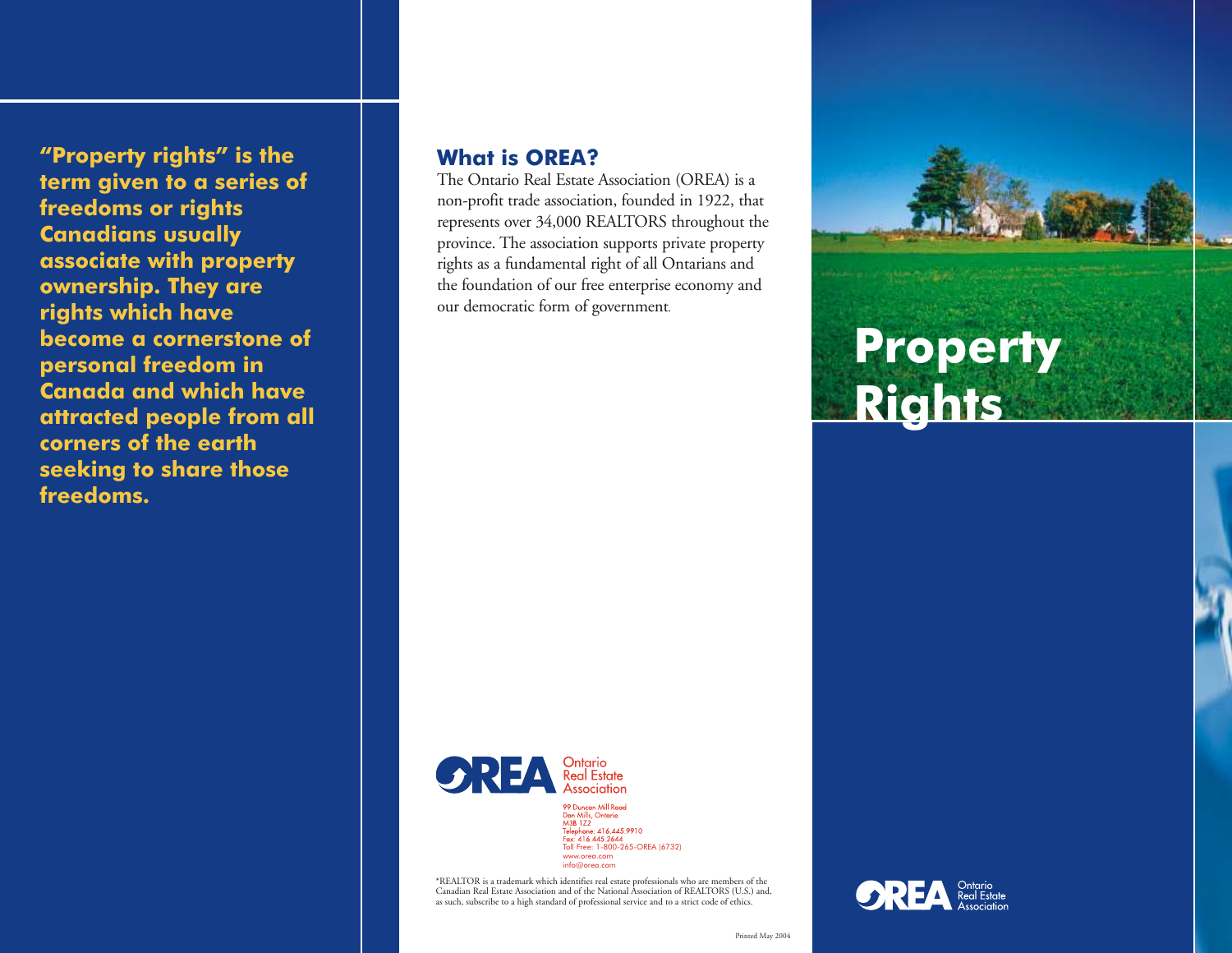**"Property rights" is the term given to a series of freedoms or rights Canadians usually associate with property ownership. They are rights which have become a cornerstone of personal freedom in Canada and which have attracted people from all corners of the earth seeking to share those freedoms.**

#### **What is OREA?**

The Ontario Real Estate Association (OREA) is a non-profit trade association, founded in 1922, that represents over 34,000 REALTORS throughout the province. The association supports private property rights as a fundamental right of all Ontarians and the foundation of our free enterprise economy and our democratic form of government.



99 Duncan Mill Road 97 Duncan Mill Road<br>
Don Mills, Ontario<br>
M3B 1Z2<br>
Telephone: 416.445.9910<br>
Tou: 416.445.2644<br>
Toll Free: 1-800-265-OREA (6732) www.orea.com info@orea.com

\*REALTOR is a trademark which identifies real estate professionals who are members of the Canadian Real Estate Association and of the National Association of REALTORS (U.S.) and, as such, subscribe to a high standard of professional service and to a strict code of ethics.



**Property**

**Rights**